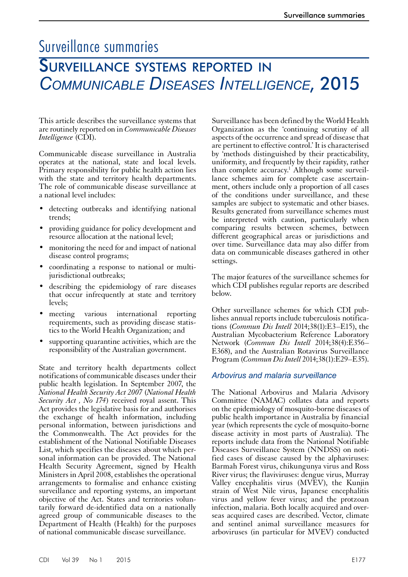## Surveillance summaries

# Surveillance systems reported in *Communicable Diseases Intelligence*, 2015

This article describes the surveillance systems that are routinely reported on in *Communicable Diseases Intelligence* (CDI).

Communicable disease surveillance in Australia operates at the national, state and local levels. Primary responsibility for public health action lies with the state and territory health departments. The role of communicable disease surveillance at a national level includes:

- detecting outbreaks and identifying national trends;
- providing guidance for policy development and resource allocation at the national level;
- monitoring the need for and impact of national disease control programs;
- coordinating a response to national or multijurisdictional outbreaks;
- describing the epidemiology of rare diseases that occur infrequently at state and territory levels;
- meeting various international reporting requirements, such as providing disease statistics to the World Health Organization; and
- supporting quarantine activities, which are the responsibility of the Australian government.

State and territory health departments collect notifications of communicable diseases under their public health legislation. In September 2007, the *National Health Security Act 2007* (*National Health Security Act , No 174*) received royal assent. This Act provides the legislative basis for and authorises the exchange of health information, including personal information, between jurisdictions and the Commonwealth. The Act provides for the establishment of the National Notifiable Diseases List, which specifies the diseases about which personal information can be provided. The National Health Security Agreement, signed by Health Ministers in April 2008, establishes the operational arrangements to formalise and enhance existing surveillance and reporting systems, an important objective of the Act. States and territories voluntarily forward de-identified data on a nationally agreed group of communicable diseases to the Department of Health (Health) for the purposes of national communicable disease surveillance.

Surveillance has been defined by the World Health Organization as the 'continuing scrutiny of all aspects of the occurrence and spread of disease that are pertinent to effective control.' It is characterised by 'methods distinguished by their practicability, uniformity, and frequently by their rapidity, rather than complete accuracy.<sup>1</sup> Although some surveillance schemes aim for complete case ascertainment, others include only a proportion of all cases of the conditions under surveillance, and these samples are subject to systematic and other biases. Results generated from surveillance schemes must be interpreted with caution, particularly when comparing results between schemes, between different geographical areas or jurisdictions and over time. Surveillance data may also differ from data on communicable diseases gathered in other settings.

The major features of the surveillance schemes for which CDI publishes regular reports are described below.

Other surveillance schemes for which CDI publishes annual reports include tuberculosis notifica- tions (*Commun Dis Intell* 2014;38(1):E3–E15), the Australian Mycobacterium Reference Laboratory Network (*Commun Dis Intell* 2014;38(4):E356– E368), and the Australian Rotavirus Surveillance Program (*Commun Dis Intell* 2014;38(1):E29–E35).

#### *Arbovirus and malaria surveillance*

The National Arbovirus and Malaria Advisory Committee (NAMAC) collates data and reports on the epidemiology of mosquito-borne diseases of public health importance in Australia by financial year (which represents the cycle of mosquito-borne disease activity in most parts of Australia). The reports include data from the National Notifiable Diseases Surveillance System (NNDSS) on notified cases of disease caused by the alphaviruses: Barmah Forest virus, chikungunya virus and Ross River virus; the flaviviruses: dengue virus, Murray Valley encephalitis virus (MVEV), the Kunjin strain of West Nile virus, Japanese encephalitis virus and yellow fever virus; and the protzoan infection, malaria. Both locally acquired and overseas acquired cases are described. Vector, climate and sentinel animal surveillance measures for arboviruses (in particular for MVEV) conducted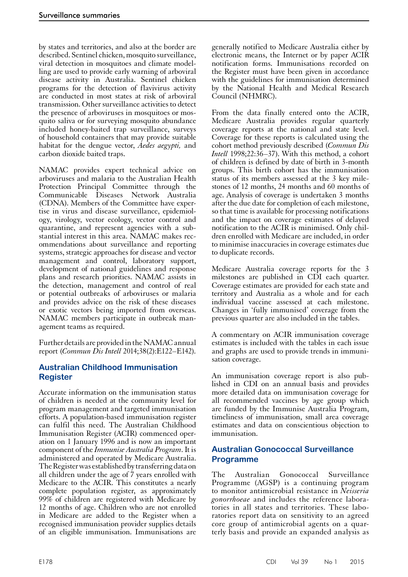by states and territories, and also at the border are described. Sentinel chicken, mosquito surveillance, viral detection in mosquitoes and climate modelling are used to provide early warning of arboviral disease activity in Australia. Sentinel chicken programs for the detection of flavivirus activity are conducted in most states at risk of arboviral transmission. Other surveillance activities to detect the presence of arboviruses in mosquitoes or mosquito saliva or for surveying mosquito abundance included honey-baited trap surveillance, surveys of household containers that may provide suitable habitat for the dengue vector, *Aedes aegypti,* and carbon dioxide baited traps.

NAMAC provides expert technical advice on arboviruses and malaria to the Australian Health Protection Principal Committee through the Communicable Diseases Network Australia (CDNA). Members of the Committee have expertise in virus and disease surveillance, epidemiology, virology, vector ecology, vector control and quarantine, and represent agencies with a substantial interest in this area. NAMAC makes recommendations about surveillance and reporting systems, strategic approaches for disease and vector management and control, laboratory support, development of national guidelines and response plans and research priorities. NAMAC assists in the detection, management and control of real or potential outbreaks of arboviruses or malaria and provides advice on the risk of these diseases or exotic vectors being imported from overseas. NAMAC members participate in outbreak man-<br>agement teams as required.

Further details are provided in the NAMAC annual report (*Commun Dis Intell* 2014;38(2):E122–E142).

## **Australian Childhood Immunisation Register**

Accurate information on the immunisation status of children is needed at the community level for program management and targeted immunisation efforts. A population-based immunisation register can fulfil this need. The Australian Childhood Immunisation Register (ACIR) commenced operation on 1 January 1996 and is now an important component of the *Immunise Australia Program*. It is administered and operated by Medicare Australia. The Register was established by transferring data on all children under the age of 7 years enrolled with Medicare to the ACIR. This constitutes a nearly complete population register, as approximately 99% of children are registered with Medicare by 12 months of age. Children who are not enrolled in Medicare are added to the Register when a recognised immunisation provider supplies details of an eligible immunisation. Immunisations are

generally notified to Medicare Australia either by electronic means, the Internet or by paper ACIR notification forms. Immunisations recorded on the Register must have been given in accordance with the guidelines for immunisation determined by the National Health and Medical Research Council (NHMRC).

From the data finally entered onto the ACIR, Medicare Australia provides regular quarterly coverage reports at the national and state level. Coverage for these reports is calculated using the cohort method previously described (*Commun Dis Intell* 1998;22:36–37). With this method, a cohort of children is defined by date of birth in 3-month groups. This birth cohort has the immunisation status of its members assessed at the 3 key milestones of 12 months, 24 months and 60 months of age. Analysis of coverage is undertaken 3 months after the due date for completion of each milestone, so that time is available for processing notifications and the impact on coverage estimates of delayed notification to the ACIR is minimised. Only children enrolled with Medicare are included, in order to minimise inaccuracies in coverage estimates due to duplicate records.

Medicare Australia coverage reports for the 3 milestones are published in CDI each quarter. Coverage estimates are provided for each state and territory and Australia as a whole and for each individual vaccine assessed at each milestone. Changes in 'fully immunised' coverage from the previous quarter are also included in the tables.

A commentary on ACIR immunisation coverage estimates is included with the tables in each issue and graphs are used to provide trends in immuni- sation coverage.

An immunisation coverage report is also pub- lished in CDI on an annual basis and provides more detailed data on immunisation coverage for all recommended vaccines by age group which are funded by the Immunise Australia Program, timeliness of immunisation, small area coverage estimates and data on conscientious objection to immunisation.

## **Australian Gonococcal Surveillance Programme**

The Australian Gonococcal Surveillance Programme (AGSP) is a continuing program to monitor antimicrobial resistance in *Neisseria gonorrhoeae* and includes the reference laboratories in all states and territories. These laboratories report data on sensitivity to an agreed core group of antimicrobial agents on a quarterly basis and provide an expanded analysis as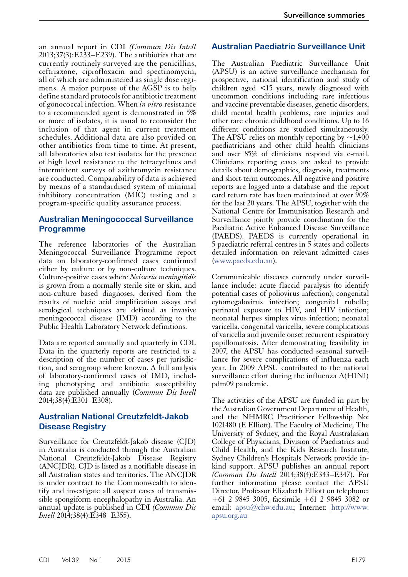an annual report in CDI *(Commun Dis Intell* 2013;37(3):E233–E239). The antibiotics that are currently routinely surveyed are the penicillins, ceftriaxone, ciprofloxacin and spectinomycin, all of which are administered as single dose regimens. A major purpose of the AGSP is to help define standard protocols for antibiotic treatment of gonococcal infection. When *in vitro* resistance to a recommended agent is demonstrated in 5% or more of isolates, it is usual to reconsider the inclusion of that agent in current treatment schedules. Additional data are also provided on other antibiotics from time to time. At present, all laboratories also test isolates for the presence of high level resistance to the tetracyclines and intermittent surveys of azithromycin resistance are conducted. Comparability of data is achieved by means of a standardised system of minimal inhibitory concentration (MIC) testing and a program-specific quality assurance process.

## **Australian Meningococcal Surveillance Programme**

The reference laboratories of the Australian Meningococcal Surveillance Programme report data on laboratory-confirmed cases confirmed either by culture or by non-culture techniques. Culture-positive cases where *Neisseria meningitidis* is grown from a normally sterile site or skin, and non-culture based diagnoses, derived from the results of nucleic acid amplification assays and serological techniques are defined as invasive meningococcal disease (IMD) according to the Public Health Laboratory Network definitions.

Data are reported annually and quarterly in CDI. Data in the quarterly reports are restricted to a description of the number of cases per jurisdic- tion, and serogroup where known. A full analysis of laboratory-confirmed cases of IMD, includ- ing phenotyping and antibiotic susceptibility data are published annually (*Commun Dis Intell*  2014;38(4):E301–E308).

## **Australian National Creutzfeldt-Jakob Disease Registry**

Surveillance for Creutzfeldt-Jakob disease (CJD) in Australia is conducted through the Australian National Creutzfeldt-Jakob Disease Registry (ANCJDR). CJD is listed as a notifiable disease in all Australian states and territories. The ANCJDR is under contract to the Commonwealth to iden-<br>tify and investigate all suspect cases of transmissible spongiform encephalopathy in Australia. An annual update is published in CDI *(Commun Dis Intell* 2014:38(4):E348–E355).

## **Australian Paediatric Surveillance Unit**

The Australian Paediatric Surveillance Unit (APSU) is an active surveillance mechanism for prospective, national identification and study of children aged <15 years, newly diagnosed with uncommon conditions including rare infectious and vaccine preventable diseases, genetic disorders, child mental health problems, rare injuries and other rare chronic childhood conditions. Up to 16 different conditions are studied simultaneously. The APSU relies on monthly reporting by  $\sim$ 1,400 paediatricians and other child health clinicians and over 85% of clinicians respond via e-mail. Clinicians reporting cases are asked to provide details about demographics, diagnosis, treatments and short-term outcomes. All negative and positive reports are logged into a database and the report card return rate has been maintained at over 90% for the last 20 years. The APSU, together with the National Centre for Immunisation Research and Surveillance jointly provide coordination for the Paediatric Active Enhanced Disease Surveillance (PAEDS). PAEDS is currently operational in 5 paediatric referral centres in 5 states and collects detailed information on relevant admitted cases [\(www.paeds.edu.au\)](http://www.health.gov.auwww.paeds.edu.au).

Communicable diseases currently under surveillance include: acute flaccid paralysis (to identify potential cases of poliovirus infection); congenital cytomegalovirus infection; congenital rubella; perinatal exposure to HIV, and HIV infection; neonatal herpes simplex virus infection; neonatal varicella, congenital varicella, severe complications of varicella and juvenile onset recurrent respiratory papillomatosis. After demonstrating feasibility in 2007, the APSU has conducted seasonal surveil- lance for severe complications of influenza each year. In 2009 APSU contributed to the national surveillance effort during the influenza A(H1N1) pdm09 pandemic.

The activities of the APSU are funded in part by the Australian Government Department of Health, and the NHMRC Practitioner Fellowship No: 1021480 (E Elliott). The Faculty of Medicine, The University of Sydney, and the Royal Australasian College of Physicians, Division of Paediatrics and Child Health, and the Kids Research Institute, Sydney Children's Hospitals Network provide inkind support. APSU publishes an annual report *(Commun Dis Intell* 2014;38(4):E343–E347). For further information please contact the APSU Director, Professor Elizabeth Elliott on telephone: +61 2 9845 3005, facsimile +61 2 9845 3082 or email: [apsu@chw.edu.au;](mailto:apsu@chw.edu.au) Internet: [http://www.](http://www.apsu.org.au) [apsu.org.au](http://www.apsu.org.au)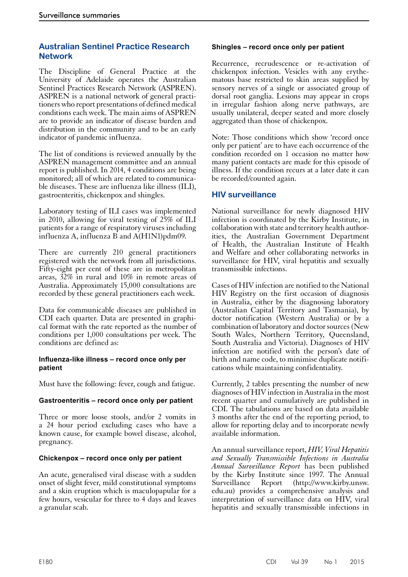## **Australian Sentinel Practice Research Network**

The Discipline of General Practice at the University of Adelaide operates the Australian Sentinel Practices Research Network (ASPREN). ASPREN is a national network of general practitioners who report presentations of defined medical conditions each week. The main aims of ASPREN are to provide an indicator of disease burden and distribution in the community and to be an early indicator of pandemic influenza.

The list of conditions is reviewed annually by the ASPREN management committee and an annual report is published. In 2014, 4 conditions are being monitored; all of which are related to communicable diseases. These are influenza like illness (ILI), gastroenteritis, chickenpox and shingles.

Laboratory testing of ILI cases was implemented in 2010, allowing for viral testing of 25% of ILI patients for a range of respiratory viruses including influenza A, influenza B and A(H1N1)pdm09.

There are currently 210 general practitioners registered with the network from all jurisdictions. Fifty-eight per cent of these are in metropolitan areas, 32% in rural and 10% in remote areas of Australia. Approximately 15,000 consultations are recorded by these general practitioners each week.

Data for communicable diseases are published in CDI each quarter. Data are presented in graphi- cal format with the rate reported as the number of conditions per 1,000 consultations per week. The conditions are defined as:

#### **Influenza-like illness – record once only per patient**

Must have the following: fever, cough and fatigue.

#### **Gastroenteritis – record once only per patient**

Three or more loose stools, and/or 2 vomits in a 24 hour period excluding cases who have a known cause, for example bowel disease, alcohol, pregnancy.

#### **Chickenpox – record once only per patient**

An acute, generalised viral disease with a sudden onset of slight fever, mild constitutional symptoms and a skin eruption which is maculopapular for a few hours, vesicular for three to 4 days and leaves a granular scab.

#### **Shingles – record once only per patient**

Recurrence, recrudescence or re-activation of chickenpox infection. Vesicles with any erythematous base restricted to skin areas supplied by sensory nerves of a single or associated group of dorsal root ganglia. Lesions may appear in crops in irregular fashion along nerve pathways, are usually unilateral, deeper seated and more closely aggregated than those of chickenpox.

Note: Those conditions which show 'record once only per patient' are to have each occurrence of the condition recorded on 1 occasion no matter how many patient contacts are made for this episode of illness. If the condition recurs at a later date it can be recorded/counted again.

#### **HIV surveillance**

National surveillance for newly diagnosed HIV infection is coordinated by the Kirby Institute, in collaboration with state and territory health authorities, the Australian Government Department of Health, the Australian Institute of Health and Welfare and other collaborating networks in surveillance for HIV, viral hepatitis and sexually transmissible infections.

Cases of HIV infection are notified to the National HIV Registry on the first occasion of diagnosis in Australia, either by the diagnosing laboratory (Australian Capital Territory and Tasmania), by doctor notification (Western Australia) or by a combination of laboratory and doctor sources (New South Wales, Northern Territory, Queensland, South Australia and Victoria). Diagnoses of HIV infection are notified with the person's date of birth and name code, to minimise duplicate notifi- cations while maintaining confidentiality.

Currently, 2 tables presenting the number of new diagnoses of HIV infection in Australia in the most recent quarter and cumulatively are published in CDI. The tabulations are based on data available 3 months after the end of the reporting period, to allow for reporting delay and to incorporate newly available information.

An annual surveillance report, *HIV, Viral Hepatitis and Sexually Transmissible Infections in Australia Annual Surveillance Report* has been published by the Kirby Institute since 1997. The [Annual](http://www.kirby.unsw.edu.au)  [Surveillance Report](http://www.kirby.unsw.edu.au) (http://www.kirby.unsw. edu.au) provides a comprehensive analysis and interpretation of surveillance data on HIV, viral hepatitis and sexually transmissible infections in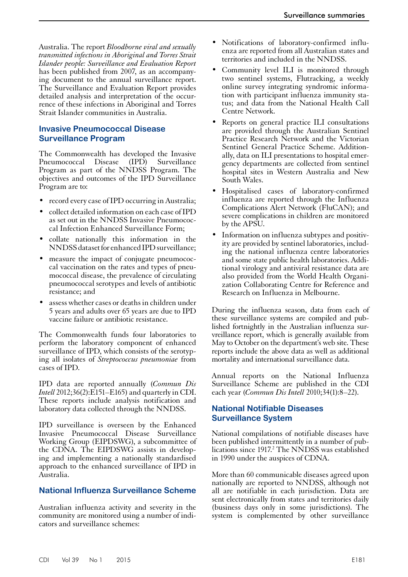Australia. The report *Bloodborne viral and sexually transmitted infections in Aboriginal and Torres Strait Islander people: Surveillance and Evaluation Report* has been published from 2007, as an accompanying document to the annual surveillance report. The Surveillance and Evaluation Report provides detailed analysis and interpretation of the occurrence of these infections in Aboriginal and Torres Strait Islander communities in Australia.

## **Invasive Pneumococcal Disease Surveillance Program**

The Commonwealth has developed the Invasive Pneumococcal Disease (IPD) Surveillance Program as part of the NNDSS Program. The objectives and outcomes of the IPD Surveillance Program are to:

- record every case of IPD occurring in Australia;
- collect detailed information on each case of IPD as set out in the NNDSS Invasive Pneumococcal Infection Enhanced Surveillance Form;
- collate nationally this information in the NNDSS dataset for enhanced IPD surveillance;
- measure the impact of conjugate pneumococcal vaccination on the rates and types of pneumococcal disease, the prevalence of circulating pneumococcal serotypes and levels of antibiotic resistance; and
- assess whether cases or deaths in children under 5 years and adults over 65 years are due to IPD vaccine failure or antibiotic resistance.

The Commonwealth funds four laboratories to perform the laboratory component of enhanced surveillance of IPD, which consists of the serotyp- ing all isolates of *Streptococcus pneumoniae* from cases of IPD.

IPD data are reported annually (*Commun Dis Intell* 2012;36(2):E151–E165) and quarterly in CDI. These reports include analysis notification and laboratory data collected through the NNDSS.

IPD surveillance is overseen by the Enhanced Invasive Pneumococcal Disease Surveillance Working Group (EIPDSWG), a subcommittee of the CDNA. The EIPDSWG assists in developing and implementing a nationally standardised approach to the enhanced surveillance of IPD in Australia.

#### **National Influenza Surveillance Scheme**

Australian influenza activity and severity in the community are monitored using a number of indicators and surveillance schemes:

- Notifications of laboratory-confirmed influenza are reported from all Australian states and territories and included in the NNDSS.
- Community level ILI is monitored through two sentinel systems, Flutracking, a weekly online survey integrating syndromic information with participant influenza immunity status; and data from the National Health Call Centre Network.
- Reports on general practice ILI consultations are provided through the Australian Sentinel Practice Research Network and the Victorian Sentinel General Practice Scheme. Addition-<br>ally, data on ILI presentations to hospital emer-<br>gency departments are collected from sentinel hospital sites in Western Australia and New South Wales.
- Hospitalised cases of laboratory-confirmed influenza are reported through the Influenza Complications Alert Network (FluCAN); and severe complications in children are monitored by the APSU.
- Information on influenza subtypes and positivity are provided by sentinel laboratories, including the national influenza centre laboratories and some state public health laboratories. Additional virology and antiviral resistance data are also provided from the World Health Organization Collaborating Centre for Reference and Research on Influenza in Melbourne.

During the influenza season, data from each of these surveillance systems are compiled and pub-<br>lished fortnightly in the Australian influenza sur-<br>vreillance report, which is generally available from May to October on the department's web site. These reports include the above data as well as additional mortality and international surveillance data.

Annual reports on the National Influenza Surveillance Scheme are published in the CDI each year (*Commun Dis Intell* 2010;34(1):8–22).

## **National Notifiable Diseases Surveillance System**

National compilations of notifiable diseases have been published intermittently in a number of publications since 1917.<sup>2</sup> The NNDSS was established in 1990 under the auspices of CDNA.

More than 60 communicable diseases agreed upon nationally are reported to NNDSS, although not all are notifiable in each jurisdiction. Data are sent electronically from states and territories daily (business days only in some jurisdictions). The system is complemented by other surveillance